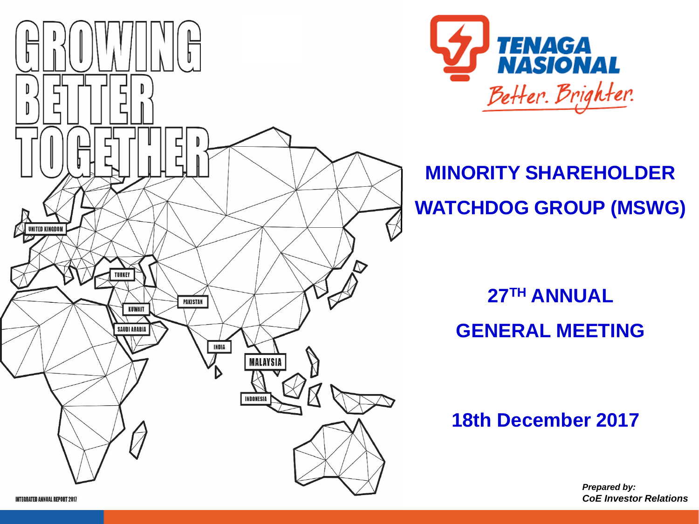



**MINORITY SHAREHOLDER WATCHDOG GROUP (MSWG)**

## **27TH ANNUAL GENERAL MEETING**

**18th December 2017**

*Prepared by: CoE Investor Relations*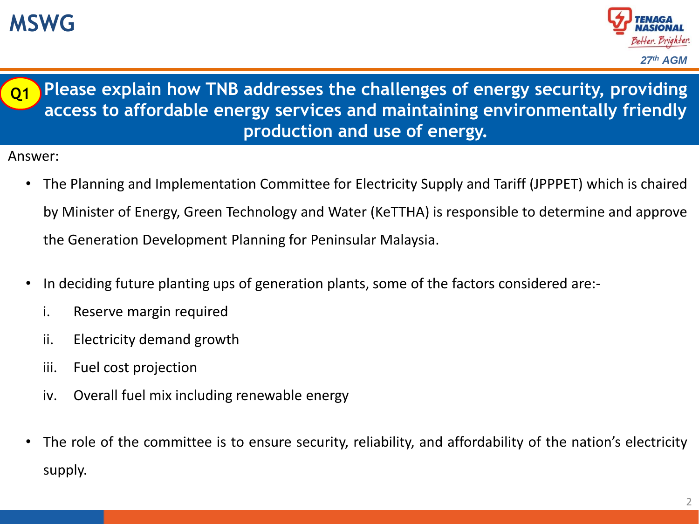## **MSWG**





- The Planning and Implementation Committee for Electricity Supply and Tariff (JPPPET) which is chaired by Minister of Energy, Green Technology and Water (KeTTHA) is responsible to determine and approve the Generation Development Planning for Peninsular Malaysia.
- In deciding future planting ups of generation plants, some of the factors considered are:
	- i. Reserve margin required
	- ii. Electricity demand growth
	- iii. Fuel cost projection
	- iv. Overall fuel mix including renewable energy
- The role of the committee is to ensure security, reliability, and affordability of the nation's electricity supply.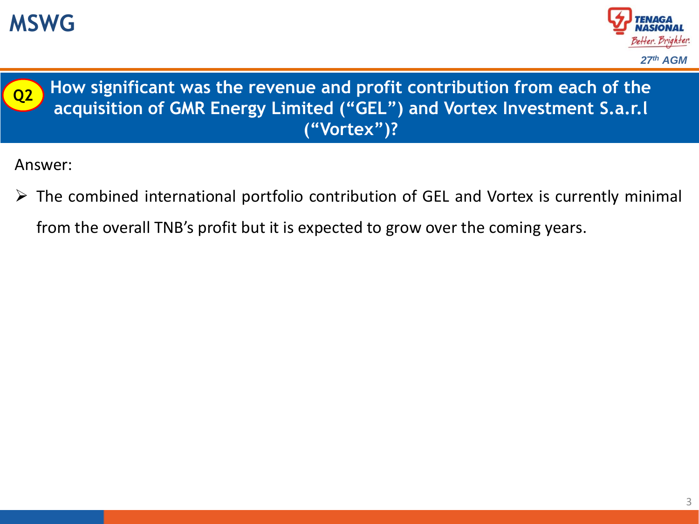





**How significant was the revenue and profit contribution from each of the acquisition of GMR Energy Limited ("GEL") and Vortex Investment S.a.r.l ("Vortex")?**

- $\triangleright$  The combined international portfolio contribution of GEL and Vortex is currently minimal
	- from the overall TNB's profit but it is expected to grow over the coming years.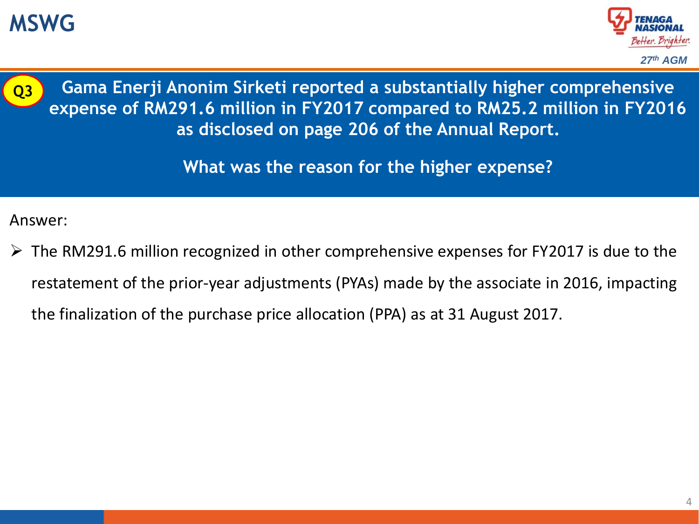## **MSWG**





**Gama Enerji Anonim Sirketi reported a substantially higher comprehensive expense of RM291.6 million in FY2017 compared to RM25.2 million in FY2016 as disclosed on page 206 of the Annual Report.**

**What was the reason for the higher expense?**

Answer:

 $\triangleright$  The RM291.6 million recognized in other comprehensive expenses for FY2017 is due to the restatement of the prior-year adjustments (PYAs) made by the associate in 2016, impacting the finalization of the purchase price allocation (PPA) as at 31 August 2017.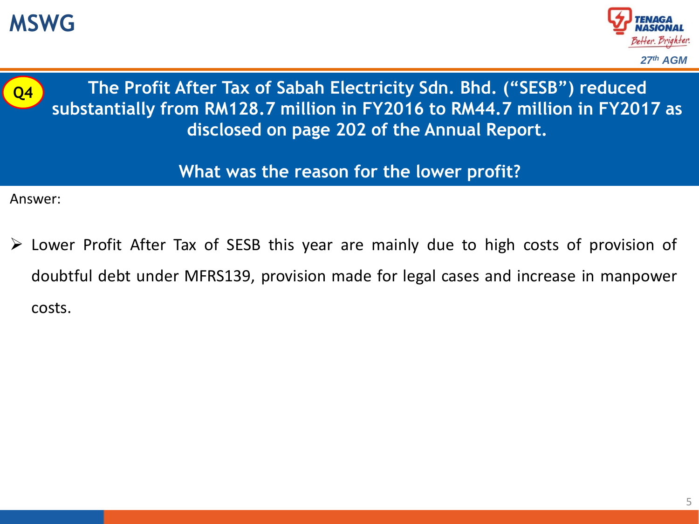





**The Profit After Tax of Sabah Electricity Sdn. Bhd. ("SESB") reduced substantially from RM128.7 million in FY2016 to RM44.7 million in FY2017 as disclosed on page 202 of the Annual Report.**

#### **What was the reason for the lower profit?**

Answer:

 Lower Profit After Tax of SESB this year are mainly due to high costs of provision of doubtful debt under MFRS139, provision made for legal cases and increase in manpower costs.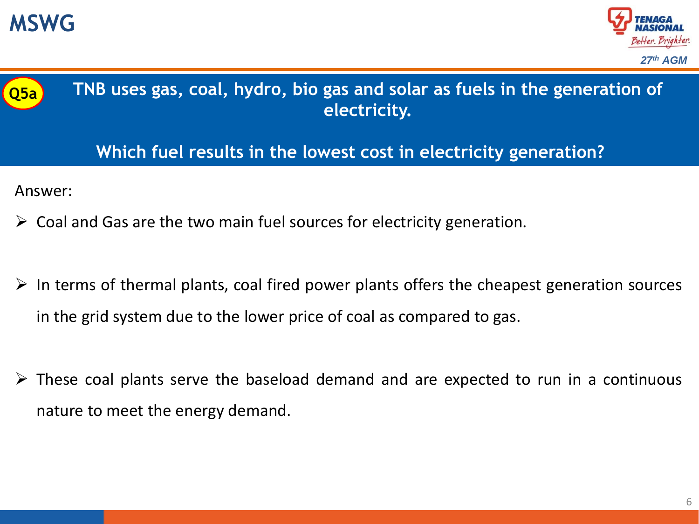





**TNB uses gas, coal, hydro, bio gas and solar as fuels in the generation of electricity.**

**Which fuel results in the lowest cost in electricity generation?**

- $\triangleright$  Coal and Gas are the two main fuel sources for electricity generation.
- $\triangleright$  In terms of thermal plants, coal fired power plants offers the cheapest generation sources in the grid system due to the lower price of coal as compared to gas.
- $\triangleright$  These coal plants serve the baseload demand and are expected to run in a continuous nature to meet the energy demand.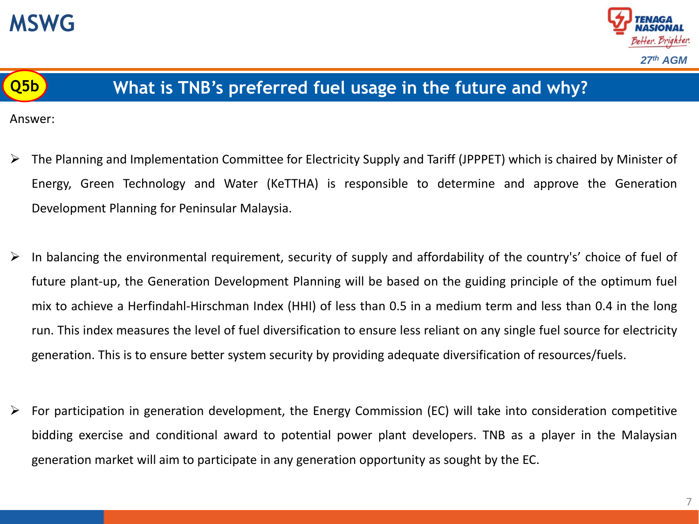





#### **Q5b What is TNB's preferred fuel usage in the future and why?**

- The Planning and Implementation Committee for Electricity Supply and Tariff (JPPPET) which is chaired by Minister of Energy, Green Technology and Water (KeTTHA) is responsible to determine and approve the Generation Development Planning for Peninsular Malaysia.
- $\triangleright$  In balancing the environmental requirement, security of supply and affordability of the country's' choice of fuel of future plant-up, the Generation Development Planning will be based on the guiding principle of the optimum fuel mix to achieve a Herfindahl-Hirschman Index (HHI) of less than 0.5 in a medium term and less than 0.4 in the long run. This index measures the level of fuel diversification to ensure less reliant on any single fuel source for electricity generation. This is to ensure better system security by providing adequate diversification of resources/fuels.
- $\triangleright$  For participation in generation development, the Energy Commission (EC) will take into consideration competitive bidding exercise and conditional award to potential power plant developers. TNB as a player in the Malaysian generation market will aim to participate in any generation opportunity as sought by the EC.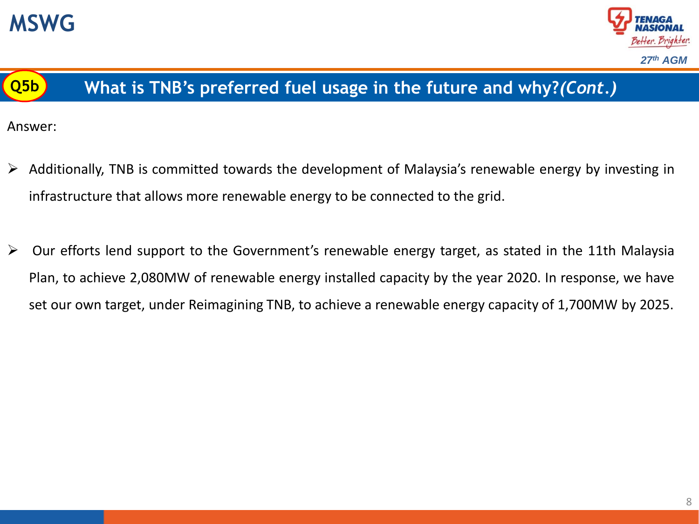





### **Q5b What is TNB's preferred fuel usage in the future and why?***(Cont.)*

- Additionally, TNB is committed towards the development of Malaysia's renewable energy by investing in infrastructure that allows more renewable energy to be connected to the grid.
- Our efforts lend support to the Government's renewable energy target, as stated in the 11th Malaysia Plan, to achieve 2,080MW of renewable energy installed capacity by the year 2020. In response, we have set our own target, under Reimagining TNB, to achieve a renewable energy capacity of 1,700MW by 2025.